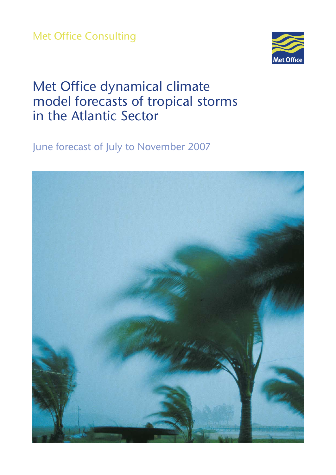Met Office Consulting



# Met Office dynamical climate model forecasts of tropical storms in the Atlantic Sector

June forecast of July to November 2007

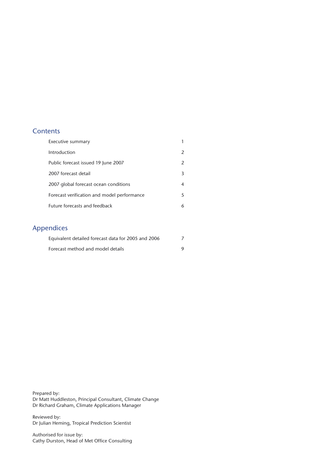## **Contents**

| $\mathcal{P}$ |
|---------------|
|               |
| 3             |
| 4             |
| 5             |
| 6             |
|               |

# Appendices

| Equivalent detailed forecast data for 2005 and 2006 |  |
|-----------------------------------------------------|--|
| Forecast method and model details                   |  |

Prepared by: Dr Matt Huddleston, Principal Consultant, Climate Change Dr Richard Graham, Climate Applications Manager

Reviewed by: Dr Julian Heming, Tropical Prediction Scientist

Authorised for issue by: Cathy Durston, Head of Met Office Consulting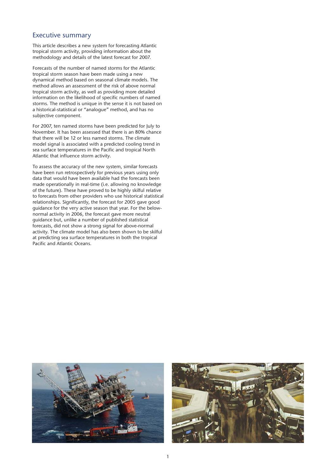#### Executive summary

This article describes a new system for forecasting Atlantic tropical storm activity, providing information about the methodology and details of the latest forecast for 2007.

Forecasts of the number of named storms for the Atlantic tropical storm season have been made using a new dynamical method based on seasonal climate models. The method allows an assessment of the risk of above normal tropical storm activity, as well as providing more detailed information on the likelihood of specific numbers of named storms. The method is unique in the sense it is not based on a historical-statistical or "analogue" method, and has no subjective component.

For 2007, ten named storms have been predicted for July to November. It has been assessed that there is an 80% chance that there will be 12 or less named storms. The climate model signal is associated with a predicted cooling trend in sea surface temperatures in the Pacific and tropical North Atlantic that influence storm activity.

To assess the accuracy of the new system, similar forecasts have been run retrospectively for previous years using only data that would have been available had the forecasts been made operationally in real-time (i.e. allowing no knowledge of the future). These have proved to be highly skilful relative to forecasts from other providers who use historical statistical relationships. Significantly, the forecast for 2005 gave good guidance for the very active season that year. For the belownormal activity in 2006, the forecast gave more neutral guidance but, unlike a number of published statistical forecasts, did not show a strong signal for above-normal activity. The climate model has also been shown to be skilful at predicting sea surface temperatures in both the tropical Pacific and Atlantic Oceans.



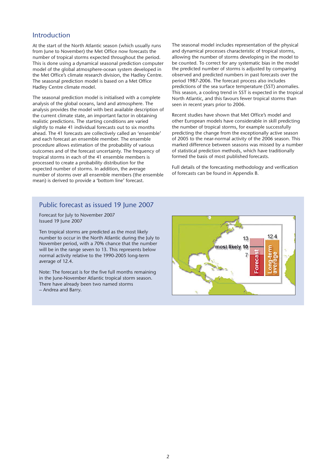#### Introduction

At the start of the North Atlantic season (which usually runs from June to November) the Met Office now forecasts the number of tropical storms expected throughout the period. This is done using a dynamical seasonal prediction computer model of the global atmosphere-ocean system developed in the Met Office's climate research division, the Hadley Centre. The seasonal prediction model is based on a Met Office Hadley Centre climate model.

The seasonal prediction model is initialised with a complete analysis of the global oceans, land and atmosphere. The analysis provides the model with best available description of the current climate state, an important factor in obtaining realistic predictions. The starting conditions are varied slightly to make 41 individual forecasts out to six months ahead. The 41 forecasts are collectively called an 'ensemble' and each forecast an ensemble member. The ensemble procedure allows estimation of the probability of various outcomes and of the forecast uncertainty. The frequency of tropical storms in each of the 41 ensemble members is processed to create a probability distribution for the expected number of storms. In addition, the average number of storms over all ensemble members (the ensemble mean) is derived to provide a 'bottom line' forecast.

The seasonal model includes representation of the physical and dynamical processes characteristic of tropical storms, allowing the number of storms developing in the model to be counted. To correct for any systematic bias in the model the predicted number of storms is adjusted by comparing observed and predicted numbers in past forecasts over the period 1987-2006. The forecast process also includes predictions of the sea surface temperature (SST) anomalies. This season, a cooling trend in SST is expected in the tropical North Atlantic, and this favours fewer tropical storms than seen in recent years prior to 2006.

Recent studies have shown that Met Office's model and other European models have considerable in skill predicting the number of tropical storms, for example successfully predicting the change from the exceptionally active season of 2005 to the near-normal activity of the 2006 season. This marked difference between seasons was missed by a number of statistical prediction methods, which have traditionally formed the basis of most published forecasts.

Full details of the forecasting methodology and verification of forecasts can be found in Appendix B.

#### Public forecast as issued 19 June 2007

Forecast for July to November 2007 Issued 19 June 2007

Ten tropical storms are predicted as the most likely number to occur in the North Atlantic during the July to November period, with a 70% chance that the number will be in the range seven to 13. This represents below normal activity relative to the 1990-2005 long-term average of 12.4.

Note: The forecast is for the five full months remaining in the June-November Atlantic tropical storm season. There have already been two named storms – Andrea and Barry.

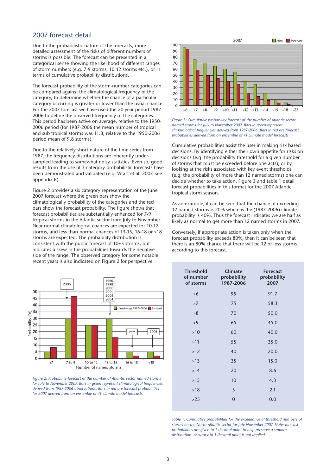# 2007 forecast detail

Due to the probabilistic nature of the forecasts, more detailed assessment of the risks of different numbers of storms is possible. The forecast can be presented in a categorical sense showing the likelihood of different ranges of storm numbers (e.g. 7-9 storms, 10-12 storms etc.), or in terms of cumulative probability distributions.

The forecast probability of the storm-number categories can be compared against the climatological frequency of the category, to determine whether the chance of a particular category occurring is greater or lower than the usual chance. For the 2007 forecast we have used the 20 year period 1987 2006 to define the observed frequency of the categories. This period has been active on average, relative to the 1950 2006 period (for 1987-2006 the mean number of tropical and sub tropical storms was 11.8, relative to the 1950-2006 period mean of 9.8 storms).

Due to the relatively short nature of the time series from 1987, the frequency distributions are inherently undersampled leading to somewhat noisy statistics. Even so, good results from the use of 3-category probabilistic forecasts have been demonstrated and validated (e.g. Vitart et al. 2007, see appendix B).

Figure 2 provides a six category representation of the June 2007 forecast where the green bars show the climatologically probability of the categories and the red bars show the forecast probability. The figure shows that forecast probabilities are substantially enhanced for 7-9 tropical storms in the Atlantic sector from July to November. Near normal climatological chances are expected for 10-12 storms, and less than normal chances of 13-15, 16-18 or >18 storms are expected. The probability distribution is consistent with the public forecast of 10±3 storms, but indicates a skew in the probabilities towards the negative side of the range. The observed category for some notable recent years is also indicated on Figure 2 for perspective.



*Figure 2: Probability forecast of the number of Atlantic sector named storms for July to November 2007. Bars in green represent climatological frequencies derived from 1987-2006 observations. Bars in red are forecast probabilities for 2007 derived from an ensemble of 41 climate model forecasts.* 



*Figure 3: Cumulative probability forecast of the number of Atlantic sector named storms for July to November 2007. Bars in green represent climatological frequencies derived from 1987-2006. Bars in red are forecast probabilities derived from an ensemble of 41 climate model forecasts.* 

Cumulative probabilities assist the user in making risk based decisions. By identifying either their own appetite for risks on decisions (e.g. the probability threshold for a given number of storms that must be exceeded before one acts), or by looking at the risks associated with key event thresholds (e.g. the probability of more than 12 named storms) one can decide whether to take action. Figure 3 and table 1 detail forecast probabilities in this format for the 2007 Atlantic tropical storm season.

As an example, it can be seen that the chance of exceeding 12 named storms is 20% whereas the (1987-2006) climate probability is 40%. Thus the forecast indicates we are half as likely as normal to get more than 12 named storms in 2007.

Conversely, if appropriate action is taken only when the forecast probability exceeds 80%, then it can be seen that there is an 80% chance that there will be 12 or less storms according to this forecast.

| <b>Threshold</b><br>of number<br>of storms | <b>Climate</b><br>probability<br>1987-2006 | <b>Forecast</b><br>probability<br>2007 |
|--------------------------------------------|--------------------------------------------|----------------------------------------|
| >6                                         | 95                                         | 91.7                                   |
| >7                                         | 75                                         | 58.3                                   |
| >8                                         | 70                                         | 50.0                                   |
| >9                                         | 65                                         | 45.0                                   |
| $>10$                                      | 60                                         | 40.0                                   |
| >11                                        | 55                                         | 35.0                                   |
| $>12$                                      | 40                                         | 20.0                                   |
| $>13$                                      | 35                                         | 15.0                                   |
| >14                                        | 20                                         | 8.6                                    |
| $>15$                                      | 10                                         | 4.3                                    |
| $>18$                                      | 5                                          | 2.1                                    |
| $>25$                                      | $\overline{0}$                             | 0.0                                    |
|                                            |                                            |                                        |

Table 1: Cumulative probabilities for the exceedance of threshold numbers of *storms for the North Atlantic sector for July-November 2007. Note: forecast probabilities are given to 1 decimal point to help preserve a smooth distribution. Accuracy to 1 decimal point is not implied.*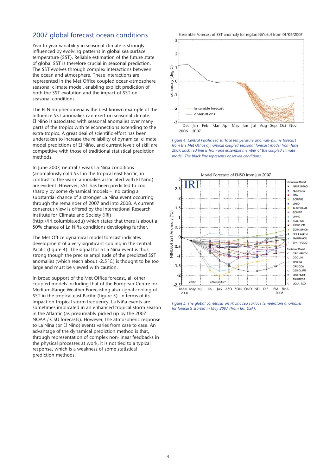### 2007 global forecast ocean conditions

Year to year variability in seasonal climate is strongly influenced by evolving patterns in global sea surface temperature (SST). Reliable estimation of the future state of global SST is therefore crucial in seasonal prediction. The SST evolves through complex interactions between the ocean and atmosphere. These interactions are represented in the Met Office coupled ocean-atmosphere seasonal climate model, enabling explicit prediction of both the SST evolution and the impact of SST on seasonal conditions.

The El Niño phenomena is the best known example of the influence SST anomalies can exert on seasonal climate. El Niño is associated with seasonal anomalies over many parts of the tropics with teleconnections extending to the extra-tropics. A great deal of scientific effort has been undertaken to increase the reliability of dynamical climate model predictions of El Niño, and current levels of skill are competitive with those of traditional statistical prediction methods.

In June 2007, neutral / weak La Niña conditions (anomalously cold SST in the tropical east Pacific, in contrast to the warm anomalies associated with El Niño) are evident. However, SST has been predicted to cool sharply by some dynamical models – indicating a substantial chance of a stronger La Niña event occurring through the remainder of 2007 and into 2008. A current consensus view is offered by the International Research Institute for Climate and Society (IRI) (http://iri.columbia.edu) which states that there is about a 50% chance of La Niña conditions developing further.

The Met Office dynamical model forecast indicates development of a very significant cooling in the central Pacific (figure 4). The signal for a La Niña event is thus strong though the precise amplitude of the predicted SST anomalies (which reach about -2.5˚C) is thought to be too large and must be viewed with caution.

In broad support of the Met Office forecast, all other coupled models including that of the European Centre for Medium-Range Weather Forecasting also signal cooling of SST in the tropical east Pacific (figure 5). In terms of its impact on tropical storm frequency, La Niña events are sometimes implicated in an enhanced tropical storm season in the Atlantic (as presumably picked up by the 2007 NOAA / CSU forecasts). However, the atmospheric response to La Niña (or El Niño) events varies from case to case. An advantage of the dynamical prediction method is that, through representation of complex non-linear feedbacks in the physical processes at work, it is not tied to a typical response, which is a weakness of some statistical prediction methods.

Ensemble Forecast of SST anomoly for region Niño3.4 from 01/06/2007



*Figure 4: Central Pacific sea surface temperature anomaly plume forecast from the Met Office dynamical coupled seasonal forecast model from June 2007. Each red line is from one ensemble member of the coupled climate model. The black line represents observed conditions.* 



*Figure 5: The global consensus on Pacific sea surface temperature anomalies for forecasts started in May 2007 (from IRI, USA).*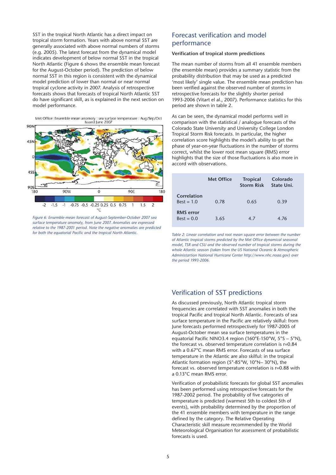SST in the tropical North Atlantic has a direct impact on tropical storm formation. Years with above normal SST are generally associated with above normal numbers of storms (e.g. 2005). The latest forecast from the dynamical model indicates development of below normal SST in the tropical North Atlantic (Figure 6 shows the ensemble mean forecast for the August-October period). The prediction of below normal SST in this region is consistent with the dynamical model prediction of lower than normal or near normal tropical cyclone activity in 2007. Analysis of retrospective forecasts shows that forecasts of tropical North Atlantic SST do have significant skill, as is explained in the next section on model performance.

Met Office: Ensemble mean anomoly : sea surface temperature : Aug/Sep/Oct<br>Issued June 2007



*Figure 6: Ensemble-mean forecast of August-September-October 2007 sea surface temperature anomaly, from June 2007. Anomalies are expressed relative to the 1987-2001 period. Note the negative anomalies are predicted for both the equatorial Pacific and the tropical North Atlantic.* 

# Forecast verification and model performance

#### Verification of tropical storm predictions

The mean number of storms from all 41 ensemble members (the ensemble mean) provides a summary statistic from the probability distribution that may be used as a predicted 'most likely' single value. The ensemble mean prediction has been verified against the observed number of storms in retrospective forecasts for the slightly shorter period 1993-2006 (Vitart el al., 2007). Performance statistics for this period are shown in table 2.

As can be seen, the dynamical model performs well in comparison with the statistical / analogue forecasts of the Colorado State University and University College London Tropical Storm Risk forecasts. In particular, the higher correlation score highlights the model's ability to get the phase of year-on-year fluctuations in the number of storms correct, whilst the lower root mean square (RMS) error highlights that the size of those fluctuations is also more in accord with observations.

|                                  | <b>Met Office</b> | <b>Tropical</b><br><b>Storm Risk</b> | Colorado<br>State Uni. |
|----------------------------------|-------------------|--------------------------------------|------------------------|
| Correlation<br>$Best = 1.0$      | 0.78              | 0.65                                 | 0.39                   |
| <b>RMS</b> error<br>$Best = 0.0$ | 3.65              | 4.7                                  | 4.76                   |

*Table 2: Linear correlation and root mean square error between the number of Atlantic tropical storms predicted by the Met Office dynamical seasonal model, TSR and CSU and the observed number of tropical storms during the whole Atlantic season (taken from the US National Oceanic & Atmospheric Administartion National Hurricane Center http://www.nhc.noaa.gov) over the period 1993-2006.* 

#### Verification of SST predictions

As discussed previously, North Atlantic tropical storm frequencies are correlated with SST anomalies in both the tropical Pacific and tropical North Atlantic. Forecasts of sea surface temperature in the Pacific are relatively skilful: from June forecasts performed retrospectively for 1987-2005 of August-October mean sea surface temperatures in the equatorial Pacific NINO3.4 region (160°E-150°W, 5°S – 5°N), the forecast vs. observed temperature correlation is r=0.84 with a 0.67°C mean RMS error. Forecasts of sea surface temperature in the Atlantic are also skilful: in the tropical Atlantic formation region (5°-85°W, 10°N– 30°N), the forecast vs. observed temperature correlation is r=0.88 with a 0.13°C mean RMS error.

Verification of probabilistic forecasts for global SST anomalies has been performed using retrospective forecasts for the 1987-2002 period. The probability of five categories of temperature is predicted (warmest 5th to coldest 5th of events), with probability determined by the proportion of the 41 ensemble members with temperature in the range defined by the category. The Relative Operating Characteristic skill measure recommended by the World Meteorological Organisation for assessment of probabilistic forecasts is used.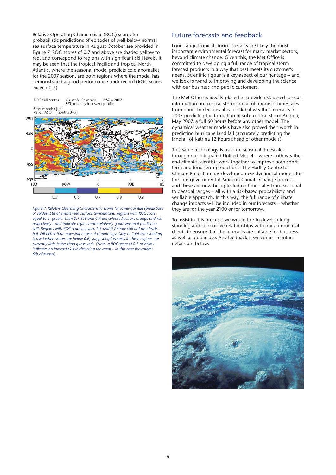Relative Operating Characteristic (ROC) scores for probabilistic predictions of episodes of well-below normal sea surface temperature in August-October are provided in Figure 7. ROC scores of 0.7 and above are shaded yellow to red, and correspond to regions with significant skill levels. It may be seen that the tropical Pacific and tropical North Atlantic, where the seasonal model predicts cold anomalies for the 2007 season, are both regions where the model has demonstrated a good performance track record (ROC scores exceed 0.7).



*Figure 7: Relative Operating Characteristic scores for lower-quintile (predictions of coldest 5th of events) sea surface temperature. Regions with ROC score equal to or greater than 0.7, 0.8 and 0.9 are coloured yellow, orange and red respectively - and indicate regions with relatively good seasonal prediction skill. Regions with ROC score between 0.6 and 0.7 show skill at lower levels but still better than guessing or use of climatology. Grey or light blue shading is used when scores are below 0.6, suggesting forecasts in these regions are currently little better than guesswork. (Note: a ROC score of 0.5 or below indicates no forecast skill in detecting the event – in this case the coldest 5th of events).* 

#### Future forecasts and feedback

Long-range tropical storm forecasts are likely the most important environmental forecast for many market sectors, beyond climate change. Given this, the Met Office is committed to developing a full range of tropical storm forecast products in a way that best meets its customer's needs. Scientific rigour is a key aspect of our heritage – and we look forward to improving and developing the science with our business and public customers.

The Met Office is ideally placed to provide risk based forecast information on tropical storms on a full range of timescales from hours to decades ahead. Global weather forecasts in 2007 predicted the formation of sub-tropical storm Andrea, May 2007, a full 60 hours before any other model. The dynamical weather models have also proved their worth in predicting hurricane land fall (accurately predicting the landfall of Katrina 12 hours ahead of other models).

This same technology is used on seasonal timescales through our integrated Unified Model – where both weather and climate scientists work together to improve both short term and long term predictions. The Hadley Centre for Climate Prediction has developed new dynamical models for the Intergovernmental Panel on Climate Change process, and these are now being tested on timescales from seasonal to decadal ranges – all with a risk-based probabilistic and verifiable approach. In this way, the full range of climate change impacts will be included in our forecasts – whether they are for the year 2100 or for tomorrow.

To assist in this process, we would like to develop longstanding and supportive relationships with our commercial clients to ensure that the forecasts are suitable for business as well as public use. Any feedback is welcome – contact details are below.

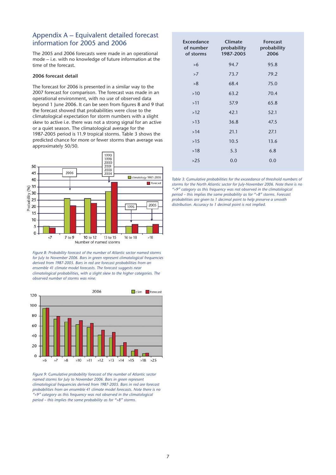# Appendix A – Equivalent detailed forecast information for 2005 and 2006

The 2005 and 2006 forecasts were made in an operational mode – i.e. with no knowledge of future information at the time of the forecast.

#### 2006 forecast detail

The forecast for 2006 is presented in a similar way to the 2007 forecast for comparison. The forecast was made in an operational environment, with no use of observed data beyond 1 June 2006. It can be seen from figures 8 and 9 that the forecast showed that probabilities were close to the climatological expectation for storm numbers with a slight skew to active i.e. there was not a strong signal for an active or a quiet season. The climatological average for the 1987-2005 period is 11.9 tropical storms. Table 3 shows the predicted chance for more or fewer storms than average was approximately 50/50.



*Figure 8: Probability forecast of the number of Atlantic sector named storms for July to November 2006. Bars in green represent climatological frequencies derived from 1987-2005. Bars in red are forecast probabilities from an ensemble 41 climate model forecasts. The forecast suggests near climatological probabilities, with a slight skew to the higher categories. The observed number of storms was nine.* 



*Figure 9: Cumulative probability forecast of the number of Atlantic sector named storms for July to November 2006. Bars in green represent climatological frequencies derived from 1987-2005. Bars in red are forecast probabilities from an ensemble 41 climate model forecasts. Note there is no ">9" category as this frequency was not observed in the climatological period – this implies the same probability as for ">8" storms.* 

| Exceedance<br>of number<br>of storms | Climate<br>probability<br>1987-2005 | <b>Forecast</b><br>probability<br>2006 |
|--------------------------------------|-------------------------------------|----------------------------------------|
| >6                                   | 94.7                                | 95.8                                   |
| >7                                   | 73.7                                | 79.2                                   |
| >8                                   | 68.4                                | 75.0                                   |
| $>10$                                | 63.2                                | 70.4                                   |
| >11                                  | 57.9                                | 65.8                                   |
| $>12$                                | 42.1                                | 52.1                                   |
| >13                                  | 36.8                                | 47.5                                   |
| >14                                  | 21.1                                | 27.1                                   |
| $>15$                                | 10.5                                | 13.6                                   |
| >18                                  | 5.3                                 | 6.8                                    |
| $>25$                                | 0.0                                 | 0.0                                    |
|                                      |                                     |                                        |

*Table 3: Cumulative probabilities for the exceedance of threshold numbers of storms for the North Atlantic sector for July-November 2006. Note there is no ">9" category as this frequency was not observed in the climatological period – this implies the same probability as for ">8" storms. Forecast probabilities are given to 1 decimal point to help preserve a smooth distribution. Accuracy to 1 decimal point is not implied.*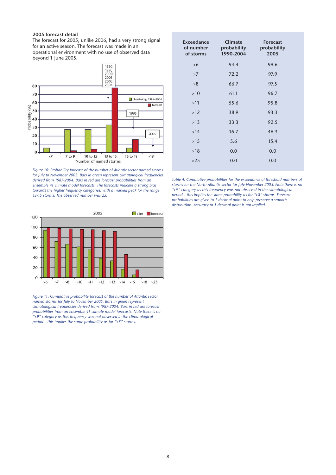#### 2005 forecast detail

The forecast for 2005, unlike 2006, had a very strong signal for an active season. The forecast was made in an operational environment with no use of observed data beyond 1 June 2005.



*Figure 10: Probability forecast of the number of Atlantic sector named storms for July to November 2005. Bars in green represent climatological frequencies derived from 1987-2004. Bars in red are forecast probabilities from an ensemble 41 climate model forecasts. The forecasts indicate a strong bias towards the higher frequency categories, with a marked peak for the range 13-15 storms. The observed number was 25.* 



*Figure 11: Cumulative probability forecast of the number of Atlantic sector named storms for July to November 2005. Bars in green represent climatological frequencies derived from 1987-2004. Bars in red are forecast probabilities from an ensemble 41 climate model forecasts. Note there is no ">9" category as this frequency was not observed in the climatological period – this implies the same probability as for ">8" storms.* 

| <b>Exceedance</b><br>of number<br>of storms | Climate<br>probability<br>1990-2004 | <b>Forecast</b><br>probability<br>2005 |
|---------------------------------------------|-------------------------------------|----------------------------------------|
| >6                                          | 94.4                                | 99.6                                   |
| >7                                          | 72.2                                | 97.9                                   |
| >8                                          | 66.7                                | 97.5                                   |
| >10                                         | 61.1                                | 96.7                                   |
| >11                                         | 55.6                                | 95.8                                   |
| $>12$                                       | 38.9                                | 93.3                                   |
| >13                                         | 33.3                                | 92.5                                   |
| >14                                         | 16.7                                | 46.3                                   |
| $>15$                                       | 5.6                                 | 15.4                                   |
| >18                                         | 0.0                                 | 0.0                                    |
| $>25$                                       | 0.0                                 | 0.0                                    |

*Table 4: Cumulative probabilities for the exceedance of threshold numbers of storms for the North Atlantic sector for July-November 2005. Note there is no ">9" category as this frequency was not observed in the climatological period – this implies the same probability as for ">8" storms. Forecast probabilities are given to 1 decimal point to help preserve a smooth distribution. Accuracy to 1 decimal point is not implied.*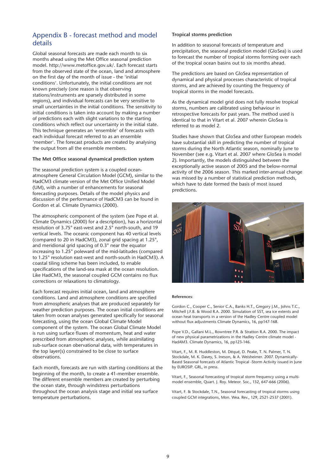# Appendix B - forecast method and model details

Global seasonal forecasts are made each month to six months ahead using the Met Office seasonal prediction model. http://www.metoffice.gov.uk/. Each forecast starts from the observed state of the ocean, land and atmosphere on the first day of the month of issue - the 'initial conditions'. Unfortunately, the initial conditions are not known precisely (one reason is that observing stations/instruments are sparsely distributed in some regions), and individual forecasts can be very sensitive to small uncertainties in the initial conditions. The sensitivity to initial conditions is taken into account by making a number of predictions each with slight variations to the starting conditions which reflect our uncertainty in the initial state. This technique generates an 'ensemble' of forecasts with each individual forecast referred to as an ensemble 'member'. The forecast products are created by analysing the output from all the ensemble members.

#### The Met Office seasonal dynamical prediction system

The seasonal prediction system is a coupled oceanatmosphere General Circulation Model (GCM), similar to the HadCM3 climate version of the Met Office Unified Model (UM), with a number of enhancements for seasonal forecasting purposes. Details of the model physics and discussion of the performance of HadCM3 can be found in Gordon et al. Climate Dynamics (2000).

The atmospheric component of the system (see Pope et al. Climate Dynamics (2000) for a description), has a horizontal resolution of 3.75° east-west and 2.5° north-south, and 19 vertical levels. The oceanic component has 40 vertical levels (compared to 20 in HadCM3), zonal grid spacing at 1.25°, and meridional grid spacing of 0.3° near the equator increasing to 1.25° poleward of the mid-latitudes (compared to 1.25° resolution east-west and north-south in HadCM3). A coastal tiling scheme has been included, to enable specifications of the land-sea mask at the ocean resolution. Like HadCM3, the seasonal coupled GCM contains no flux corrections or relaxations to climatology.

Each forecast requires initial ocean, land and atmosphere conditions. Land and atmosphere conditions are specified from atmospheric analyses that are produced separately for weather prediction purposes. The ocean initial conditions are taken from ocean analyses generated specifically for seasonal forecasting, using the ocean Global Climate Model component of the system. The ocean Global Climate Model is run using surface fluxes of momentum, heat and water prescribed from atmospheric analyses, while assimilating sub-surface ocean obervational data, with temperatures in the top layer(s) constrained to be close to surface observations.

Each month, forecasts are run with starting conditions at the beginning of the month, to create a 41-member ensemble. The different ensemble members are created by perturbing the ocean state, through windstress perturbations throughout the ocean analysis stage and initial sea surface temperature perturbations.

#### Tropical storms prediction

In addition to seasonal forecasts of temperature and precipitation, the seasonal prediction model (GloSea) is used to forecast the number of tropical storms forming over each of the tropical ocean basins out to six months ahead.

The predictions are based on GloSea representation of dynamical and physical processes characteristic of tropical storms, and are achieved by counting the frequency of tropical storms in the model forecasts.

As the dynamical model grid does not fully resolve tropical storms, numbers are calibrated using behaviour in retrospective forecasts for past years. The method used is identical to that in Vitart et al. 2007 wherein GloSea is referred to as model 2.

Studies have shown that GloSea and other European models have substantial skill in predicting the number of tropical storms during the North Atlantic season, nominally June to November (see e.g. Vitart et al. 2007 where GloSea is model 2). Importantly, the models distinguished between the exceptionally active season of 2005 and the below-normal activity of the 2006 season. This marked inter-annual change was missed by a number of statistical prediction methods, which have to date formed the basis of most issued predictions.



#### References:

Gordon C., Cooper C., Senior C.A., Banks H.T., Gregory J.M., Johns T.C., Mitchell J.F.B. & Wood R.A. 2000. Simulation of SST, sea ice extents and ocean heat transports in a version of the Hadley Centre coupled model without flux adjustments Climate Dynamics, 16, pp147-168.

Pope V.D., Gallani M.L., Rowntree P.R. & Stratton R.A. 2000. The impact of new physical parametrizations in the Hadley Centre climate model HadAM3. Climate Dynamics, 16, pp123-146.

Vitart, F., M. R. Huddleston, M. Déqué, D. Peake, T. N. Palmer, T. N. Stockdale, M. K. Davey, S. Ineson, & A. Weisheimer. 2007. Dynamically-Based Seasonal forecasts of Atlantic Tropical -Storm Activity issued in June by EUROSIP. GRL, in press.

Vitart, F., Seasonal forecasting of tropical storm frequency using a multimodel ensemble, Quart. J. Roy. Meteor. Soc., 132, 647-666 (2006).

Vitart, F. & Stockdale, T.N., Seasonal forecasting of tropical storms using coupled GCM integrations, Mon. Wea. Rev., 129, 2521-2537 (2001).